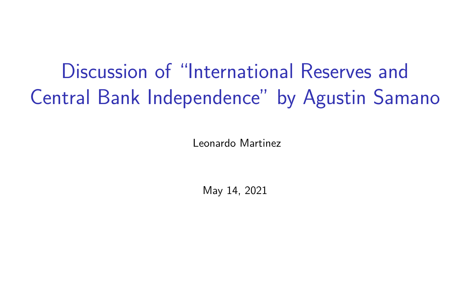# Discussion of "International Reserves and Central Bank Independence" by Agustin Samano

Leonardo Martinez

May 14, 2021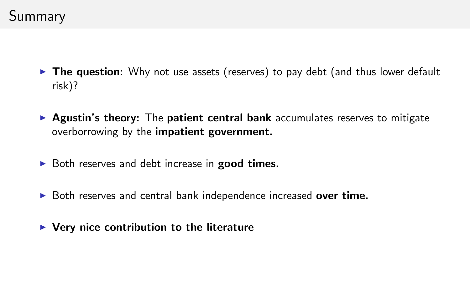## Summary

- ▶ The question: Why not use assets (reserves) to pay debt (and thus lower default risk)?
- ▶ **Agustin's theory:** The **patient central bank** accumulates reserves to mitigate overborrowing by the **impatient government.**
- ▶ Both reserves and debt increase in **good times.**
- ▶ Both reserves and central bank independence increased **over time.**
- ▶ Very nice contribution to the literature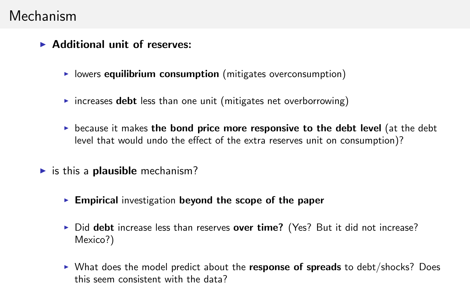#### Mechanism

- ▶ **Additional unit of reserves:** 
	- **I** lowers **equilibrium consumption** (mitigates overconsumption)
	- $\triangleright$  increases **debt** less than one unit (mitigates net overborrowing)
	- $\triangleright$  because it makes **the bond price more responsive to the debt level** (at the debt level that would undo the effect of the extra reserves unit on consumption)?
- $\blacktriangleright$  is this a **plausible** mechanism?
	- **Empirical** investigation **beyond the scope of the paper**
	- ▶ Did **debt** increase less than reserves **over time?** (Yes? But it did not increase? Mexico?)
	- ► What does the model predict about the **response of spreads** to debt/shocks? Does this seem consistent with the data?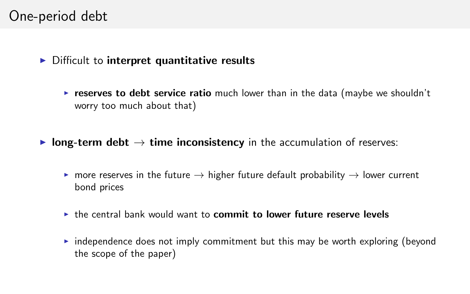### One-period debt

- ▶ Difficult to **interpret quantitative results** 
	- **Figure 1 reserves to debt service ratio** much lower than in the data (maybe we shouldn't worry too much about that)
- **long-term debt**  $\rightarrow$  **time inconsistency** in the accumulation of reserves:
	- **►** more reserves in the future  $\rightarrow$  higher future default probability  $\rightarrow$  lower current bond prices
	- **In the central bank would want to commit to lower future reserve levels**
	- $\triangleright$  independence does not imply commitment but this may be worth exploring (beyond the scope of the paper)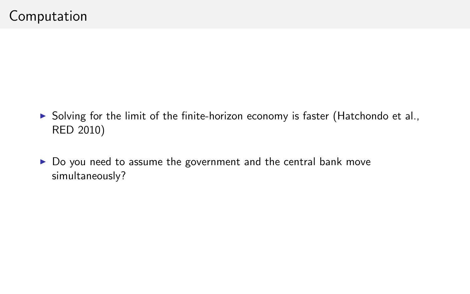- $\triangleright$  Solving for the limit of the finite-horizon economy is faster (Hatchondo et al., RED 2010)
- $\triangleright$  Do you need to assume the government and the central bank move simultaneously?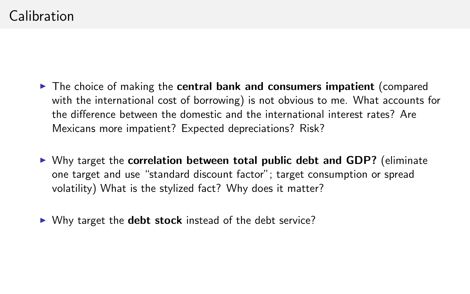- **F** The choice of making the **central bank and consumers impatient** (compared with the international cost of borrowing) is not obvious to me. What accounts for the difference between the domestic and the international interest rates? Are Mexicans more impatient? Expected depreciations? Risk?
- ▶ Why target the **correlation between total public debt and GDP?** (eliminate one target and use "standard discount factor"; target consumption or spread volatility) What is the stylized fact? Why does it matter?
- ▶ Why target the **debt stock** instead of the debt service?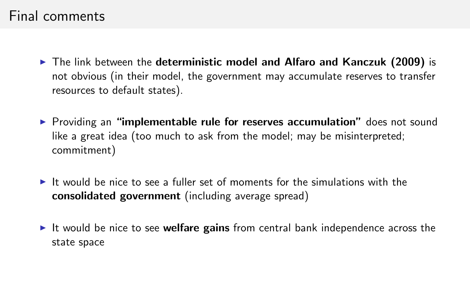#### Final comments

- **Fig. 1** The link between the **deterministic model and Alfaro and Kanczuk (2009)** is not obvious (in their model, the government may accumulate reserves to transfer resources to default states).
- **Providing an "implementable rule for reserves accumulation"** does not sound like a great idea (too much to ask from the model; may be misinterpreted; commitment)
- It would be nice to see a fuller set of moments for the simulations with the **consolidated government** (including average spread)
- It would be nice to see **welfare gains** from central bank independence across the state space